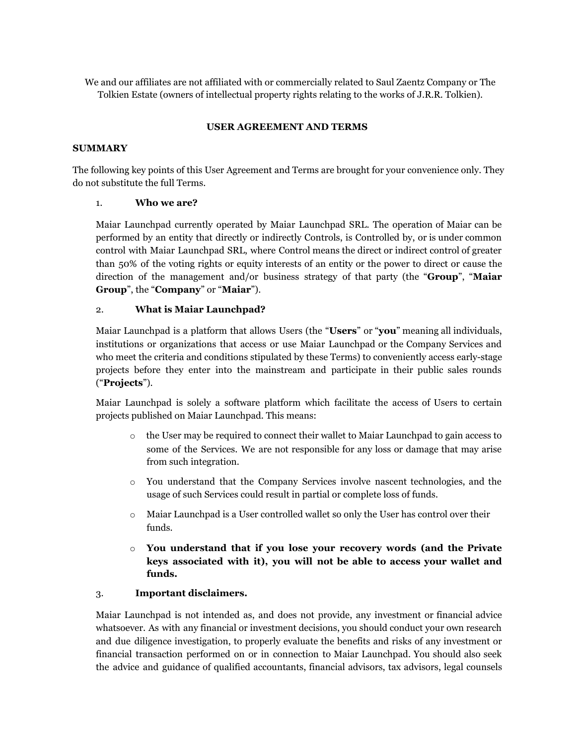We and our affiliates are not affiliated with or commercially related to Saul Zaentz Company or The Tolkien Estate (owners of intellectual property rights relating to the works of J.R.R. Tolkien).

## **USER AGREEMENT AND TERMS**

### **SUMMARY**

The following key points of this User Agreement and Terms are brought for your convenience only. They do not substitute the full Terms.

### 1. **Who we are?**

Maiar Launchpad currently operated by Maiar Launchpad SRL. The operation of Maiar can be performed by an entity that directly or indirectly Controls, is Controlled by, or is under common control with Maiar Launchpad SRL, where Control means the direct or indirect control of greater than 50% of the voting rights or equity interests of an entity or the power to direct or cause the direction of the management and/or business strategy of that party (the "**Group**", "**Maiar Group**", the "**Company**" or "**Maiar**").

### 2. **What is Maiar Launchpad?**

Maiar Launchpad is a platform that allows Users (the "**Users**" or "**you**" meaning all individuals, institutions or organizations that access or use Maiar Launchpad or the Company Services and who meet the criteria and conditions stipulated by these Terms) to conveniently access early-stage projects before they enter into the mainstream and participate in their public sales rounds ("**Projects**").

Maiar Launchpad is solely a software platform which facilitate the access of Users to certain projects published on Maiar Launchpad. This means:

- o the User may be required to connect their wallet to Maiar Launchpad to gain access to some of the Services. We are not responsible for any loss or damage that may arise from such integration.
- o You understand that the Company Services involve nascent technologies, and the usage of such Services could result in partial or complete loss of funds.
- o Maiar Launchpad is a User controlled wallet so only the User has control over their funds.
- o **You understand that if you lose your recovery words (and the Private keys associated with it), you will not be able to access your wallet and funds.**

### 3. **Important disclaimers.**

Maiar Launchpad is not intended as, and does not provide, any investment or financial advice whatsoever. As with any financial or investment decisions, you should conduct your own research and due diligence investigation, to properly evaluate the benefits and risks of any investment or financial transaction performed on or in connection to Maiar Launchpad. You should also seek the advice and guidance of qualified accountants, financial advisors, tax advisors, legal counsels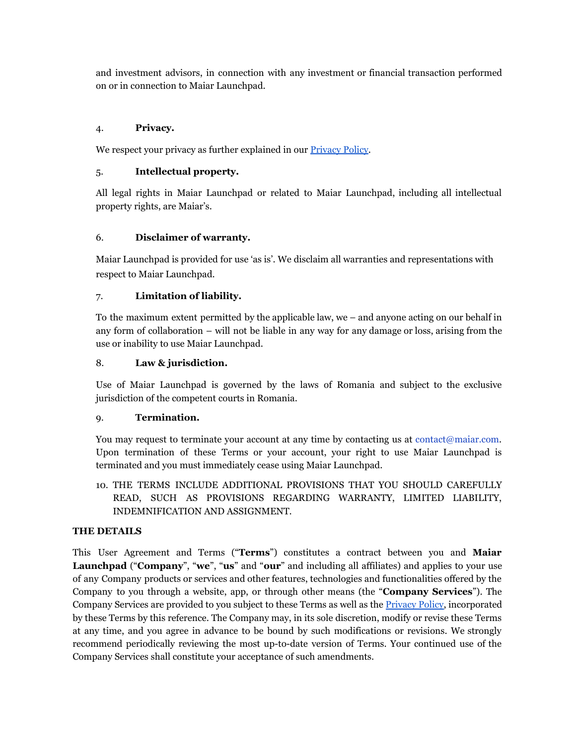and investment advisors, in connection with any investment or financial transaction performed on or in connection to Maiar Launchpad.

# 4. **Privacy.**

We respect your privacy as further explained in our **[Privacy](https://maiarlaunchpad.com/Maiar%20Launchpad%20-%20Privacy%20Policy.pdf) Policy**.

### 5. **Intellectual property.**

All legal rights in Maiar Launchpad or related to Maiar Launchpad, including all intellectual property rights, are Maiar's.

## 6. **Disclaimer of warranty.**

Maiar Launchpad is provided for use 'as is'. We disclaim all warranties and representations with respect to Maiar Launchpad.

## 7. **Limitation of liability.**

To the maximum extent permitted by the applicable law, we – and anyone acting on our behalf in any form of collaboration – will not be liable in any way for any damage or loss, arising from the use or inability to use Maiar Launchpad.

## 8. **Law & jurisdiction.**

Use of Maiar Launchpad is governed by the laws of Romania and subject to the exclusive jurisdiction of the competent courts in Romania.

### 9. **Termination.**

You may request to terminate your account at any time by contacting us at contact@maiar.com. Upon termination of these Terms or your account, your right to use Maiar Launchpad is terminated and you must immediately cease using Maiar Launchpad.

10. THE TERMS INCLUDE ADDITIONAL PROVISIONS THAT YOU SHOULD CAREFULLY READ, SUCH AS PROVISIONS REGARDING WARRANTY, LIMITED LIABILITY, INDEMNIFICATION AND ASSIGNMENT.

### **THE DETAILS**

This User Agreement and Terms ("**Terms**") constitutes a contract between you and **Maiar Launchpad** ("**Company**", "**we**", "**us**" and "**our**" and including all affiliates) and applies to your use of any Company products or services and other features, technologies and functionalities offered by the Company to you through a website, app, or through other means (the "**Company Services**"). The Company Services are provided to you subject to these Terms as well as the [Privacy](https://maiarlaunchpad.com/Maiar%20Launchpad%20-%20Privacy%20Policy.pdf) Policy, incorporated by these Terms by this reference. The Company may, in its sole discretion, modify or revise these Terms at any time, and you agree in advance to be bound by such modifications or revisions. We strongly recommend periodically reviewing the most up-to-date version of Terms. Your continued use of the Company Services shall constitute your acceptance of such amendments.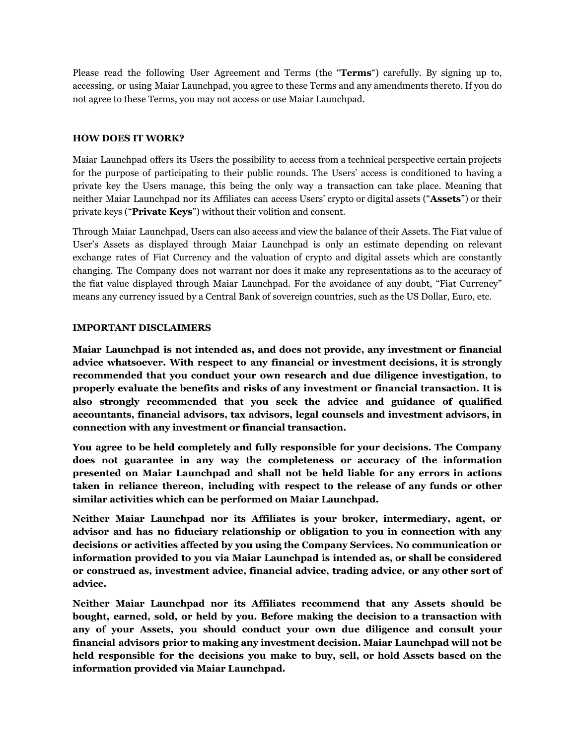Please read the following User Agreement and Terms (the "**Terms**") carefully. By signing up to, accessing, or using Maiar Launchpad, you agree to these Terms and any amendments thereto. If you do not agree to these Terms, you may not access or use Maiar Launchpad.

#### **HOW DOES IT WORK?**

Maiar Launchpad offers its Users the possibility to access from a technical perspective certain projects for the purpose of participating to their public rounds. The Users' access is conditioned to having a private key the Users manage, this being the only way a transaction can take place. Meaning that neither Maiar Launchpad nor its Affiliates can access Users' crypto or digital assets ("**Assets**") or their private keys ("**Private Keys**") without their volition and consent.

Through Maiar Launchpad, Users can also access and view the balance of their Assets. The Fiat value of User's Assets as displayed through Maiar Launchpad is only an estimate depending on relevant exchange rates of Fiat Currency and the valuation of crypto and digital assets which are constantly changing. The Company does not warrant nor does it make any representations as to the accuracy of the fiat value displayed through Maiar Launchpad. For the avoidance of any doubt, "Fiat Currency" means any currency issued by a Central Bank of sovereign countries, such as the US Dollar, Euro, etc.

### **IMPORTANT DISCLAIMERS**

**Maiar Launchpad is not intended as, and does not provide, any investment or financial advice whatsoever. With respect to any financial or investment decisions, it is strongly recommended that you conduct your own research and due diligence investigation, to properly evaluate the benefits and risks of any investment or financial transaction. It is also strongly recommended that you seek the advice and guidance of qualified accountants, financial advisors, tax advisors, legal counsels and investment advisors, in connection with any investment or financial transaction.**

**You agree to be held completely and fully responsible for your decisions. The Company does not guarantee in any way the completeness or accuracy of the information presented on Maiar Launchpad and shall not be held liable for any errors in actions taken in reliance thereon, including with respect to the release of any funds or other similar activities which can be performed on Maiar Launchpad.**

**Neither Maiar Launchpad nor its Affiliates is your broker, intermediary, agent, or advisor and has no fiduciary relationship or obligation to you in connection with any decisions or activities affected by you using the Company Services. No communication or information provided to you via Maiar Launchpad is intended as, or shall be considered or construed as, investment advice, financial advice, trading advice, or any other sort of advice.**

**Neither Maiar Launchpad nor its Affiliates recommend that any Assets should be bought, earned, sold, or held by you. Before making the decision to a transaction with any of your Assets, you should conduct your own due diligence and consult your financial advisors prior to making any investment decision. Maiar Launchpad will not be held responsible for the decisions you make to buy, sell, or hold Assets based on the information provided via Maiar Launchpad.**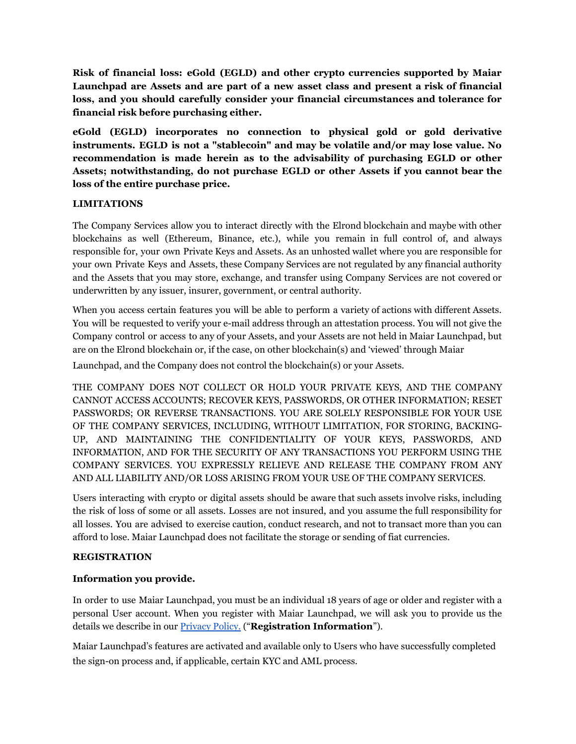**Risk of financial loss: eGold (EGLD) and other crypto currencies supported by Maiar Launchpad are Assets and are part of a new asset class and present a risk of financial loss, and you should carefully consider your financial circumstances and tolerance for financial risk before purchasing either.**

**eGold (EGLD) incorporates no connection to physical gold or gold derivative instruments. EGLD is not a "stablecoin" and may be volatile and/or may lose value. No recommendation is made herein as to the advisability of purchasing EGLD or other Assets; notwithstanding, do not purchase EGLD or other Assets if you cannot bear the loss of the entire purchase price.**

### **LIMITATIONS**

The Company Services allow you to interact directly with the Elrond blockchain and maybe with other blockchains as well (Ethereum, Binance, etc.), while you remain in full control of, and always responsible for, your own Private Keys and Assets. As an unhosted wallet where you are responsible for your own Private Keys and Assets, these Company Services are not regulated by any financial authority and the Assets that you may store, exchange, and transfer using Company Services are not covered or underwritten by any issuer, insurer, government, or central authority.

When you access certain features you will be able to perform a variety of actions with different Assets. You will be requested to verify your e-mail address through an attestation process. You will not give the Company control or access to any of your Assets, and your Assets are not held in Maiar Launchpad, but are on the Elrond blockchain or, if the case, on other blockchain(s) and 'viewed' through Maiar

Launchpad, and the Company does not control the blockchain(s) or your Assets.

THE COMPANY DOES NOT COLLECT OR HOLD YOUR PRIVATE KEYS, AND THE COMPANY CANNOT ACCESS ACCOUNTS; RECOVER KEYS, PASSWORDS, OR OTHER INFORMATION; RESET PASSWORDS; OR REVERSE TRANSACTIONS. YOU ARE SOLELY RESPONSIBLE FOR YOUR USE OF THE COMPANY SERVICES, INCLUDING, WITHOUT LIMITATION, FOR STORING, BACKING-UP, AND MAINTAINING THE CONFIDENTIALITY OF YOUR KEYS, PASSWORDS, AND INFORMATION, AND FOR THE SECURITY OF ANY TRANSACTIONS YOU PERFORM USING THE COMPANY SERVICES. YOU EXPRESSLY RELIEVE AND RELEASE THE COMPANY FROM ANY AND ALL LIABILITY AND/OR LOSS ARISING FROM YOUR USE OF THE COMPANY SERVICES.

Users interacting with crypto or digital assets should be aware that such assets involve risks, including the risk of loss of some or all assets. Losses are not insured, and you assume the full responsibility for all losses. You are advised to exercise caution, conduct research, and not to transact more than you can afford to lose. Maiar Launchpad does not facilitate the storage or sending of fiat currencies.

### **REGISTRATION**

### **Information you provide.**

In order to use Maiar Launchpad, you must be an individual 18 years of age or older and register with a personal User account. When you register with Maiar Launchpad, we will ask you to provide us the details we describe in our [Privacy](https://maiarlaunchpad.com/Maiar%20Launchpad%20-%20Privacy%20Policy.pdf) Policy. ("**Registration Information**").

Maiar Launchpad's features are activated and available only to Users who have successfully completed the sign-on process and, if applicable, certain KYC and AML process.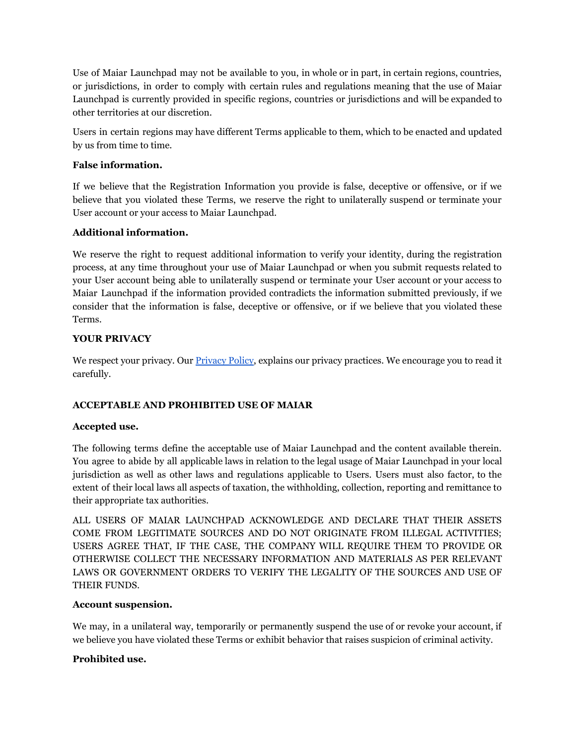Use of Maiar Launchpad may not be available to you, in whole or in part, in certain regions, countries, or jurisdictions, in order to comply with certain rules and regulations meaning that the use of Maiar Launchpad is currently provided in specific regions, countries or jurisdictions and will be expanded to other territories at our discretion.

Users in certain regions may have different Terms applicable to them, which to be enacted and updated by us from time to time.

## **False information.**

If we believe that the Registration Information you provide is false, deceptive or offensive, or if we believe that you violated these Terms, we reserve the right to unilaterally suspend or terminate your User account or your access to Maiar Launchpad.

## **Additional information.**

We reserve the right to request additional information to verify your identity, during the registration process, at any time throughout your use of Maiar Launchpad or when you submit requests related to your User account being able to unilaterally suspend or terminate your User account or your access to Maiar Launchpad if the information provided contradicts the information submitted previously, if we consider that the information is false, deceptive or offensive, or if we believe that you violated these Terms.

## **YOUR PRIVACY**

We respect your privacy. Our **[Privacy](https://maiarlaunchpad.com/Maiar%20Launchpad%20-%20Privacy%20Policy.pdf) Policy**, explains our privacy practices. We encourage you to read it carefully.

# **ACCEPTABLE AND PROHIBITED USE OF MAIAR**

### **Accepted use.**

The following terms define the acceptable use of Maiar Launchpad and the content available therein. You agree to abide by all applicable laws in relation to the legal usage of Maiar Launchpad in your local jurisdiction as well as other laws and regulations applicable to Users. Users must also factor, to the extent of their local laws all aspects of taxation, the withholding, collection, reporting and remittance to their appropriate tax authorities.

ALL USERS OF MAIAR LAUNCHPAD ACKNOWLEDGE AND DECLARE THAT THEIR ASSETS COME FROM LEGITIMATE SOURCES AND DO NOT ORIGINATE FROM ILLEGAL ACTIVITIES; USERS AGREE THAT, IF THE CASE, THE COMPANY WILL REQUIRE THEM TO PROVIDE OR OTHERWISE COLLECT THE NECESSARY INFORMATION AND MATERIALS AS PER RELEVANT LAWS OR GOVERNMENT ORDERS TO VERIFY THE LEGALITY OF THE SOURCES AND USE OF THEIR FUNDS.

### **Account suspension.**

We may, in a unilateral way, temporarily or permanently suspend the use of or revoke your account, if we believe you have violated these Terms or exhibit behavior that raises suspicion of criminal activity.

### **Prohibited use.**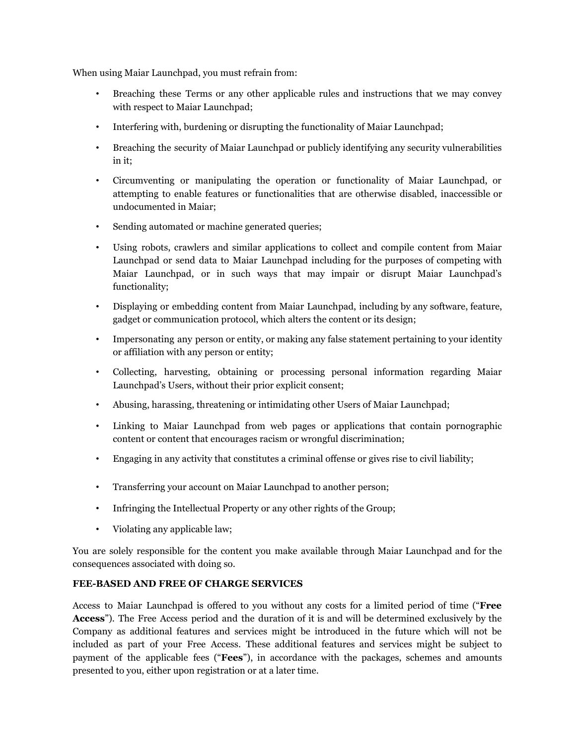When using Maiar Launchpad, you must refrain from:

- Breaching these Terms or any other applicable rules and instructions that we may convey with respect to Maiar Launchpad;
- Interfering with, burdening or disrupting the functionality of Maiar Launchpad;
- Breaching the security of Maiar Launchpad or publicly identifying any security vulnerabilities in it;
- Circumventing or manipulating the operation or functionality of Maiar Launchpad, or attempting to enable features or functionalities that are otherwise disabled, inaccessible or undocumented in Maiar;
- Sending automated or machine generated queries;
- Using robots, crawlers and similar applications to collect and compile content from Maiar Launchpad or send data to Maiar Launchpad including for the purposes of competing with Maiar Launchpad, or in such ways that may impair or disrupt Maiar Launchpad's functionality;
- Displaying or embedding content from Maiar Launchpad, including by any software, feature, gadget or communication protocol, which alters the content or its design;
- Impersonating any person or entity, or making any false statement pertaining to your identity or affiliation with any person or entity;
- Collecting, harvesting, obtaining or processing personal information regarding Maiar Launchpad's Users, without their prior explicit consent;
- Abusing, harassing, threatening or intimidating other Users of Maiar Launchpad;
- Linking to Maiar Launchpad from web pages or applications that contain pornographic content or content that encourages racism or wrongful discrimination;
- Engaging in any activity that constitutes a criminal offense or gives rise to civil liability;
- Transferring your account on Maiar Launchpad to another person;
- Infringing the Intellectual Property or any other rights of the Group;
- Violating any applicable law;

You are solely responsible for the content you make available through Maiar Launchpad and for the consequences associated with doing so.

### **FEE-BASED AND FREE OF CHARGE SERVICES**

Access to Maiar Launchpad is offered to you without any costs for a limited period of time ("**Free Access**"). The Free Access period and the duration of it is and will be determined exclusively by the Company as additional features and services might be introduced in the future which will not be included as part of your Free Access. These additional features and services might be subject to payment of the applicable fees ("**Fees**"), in accordance with the packages, schemes and amounts presented to you, either upon registration or at a later time.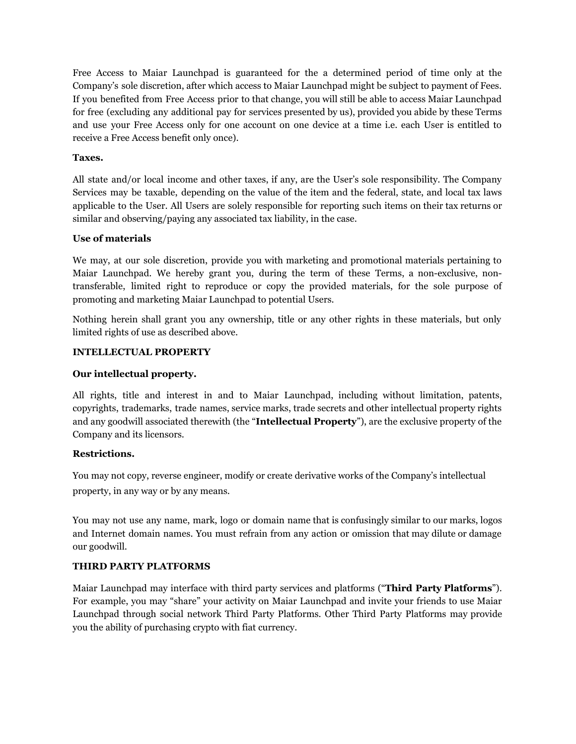Free Access to Maiar Launchpad is guaranteed for the a determined period of time only at the Company's sole discretion, after which access to Maiar Launchpad might be subject to payment of Fees. If you benefited from Free Access prior to that change, you will still be able to access Maiar Launchpad for free (excluding any additional pay for services presented by us), provided you abide by these Terms and use your Free Access only for one account on one device at a time i.e. each User is entitled to receive a Free Access benefit only once).

### **Taxes.**

All state and/or local income and other taxes, if any, are the User's sole responsibility. The Company Services may be taxable, depending on the value of the item and the federal, state, and local tax laws applicable to the User. All Users are solely responsible for reporting such items on their tax returns or similar and observing/paying any associated tax liability, in the case.

### **Use of materials**

We may, at our sole discretion, provide you with marketing and promotional materials pertaining to Maiar Launchpad. We hereby grant you, during the term of these Terms, a non-exclusive, nontransferable, limited right to reproduce or copy the provided materials, for the sole purpose of promoting and marketing Maiar Launchpad to potential Users.

Nothing herein shall grant you any ownership, title or any other rights in these materials, but only limited rights of use as described above.

### **INTELLECTUAL PROPERTY**

### **Our intellectual property.**

All rights, title and interest in and to Maiar Launchpad, including without limitation, patents, copyrights, trademarks, trade names, service marks, trade secrets and other intellectual property rights and any goodwill associated therewith (the "**Intellectual Property**"), are the exclusive property of the Company and its licensors.

### **Restrictions.**

You may not copy, reverse engineer, modify or create derivative works of the Company's intellectual property, in any way or by any means.

You may not use any name, mark, logo or domain name that is confusingly similar to our marks, logos and Internet domain names. You must refrain from any action or omission that may dilute or damage our goodwill.

# **THIRD PARTY PLATFORMS**

Maiar Launchpad may interface with third party services and platforms ("**Third Party Platforms**"). For example, you may "share" your activity on Maiar Launchpad and invite your friends to use Maiar Launchpad through social network Third Party Platforms. Other Third Party Platforms may provide you the ability of purchasing crypto with fiat currency.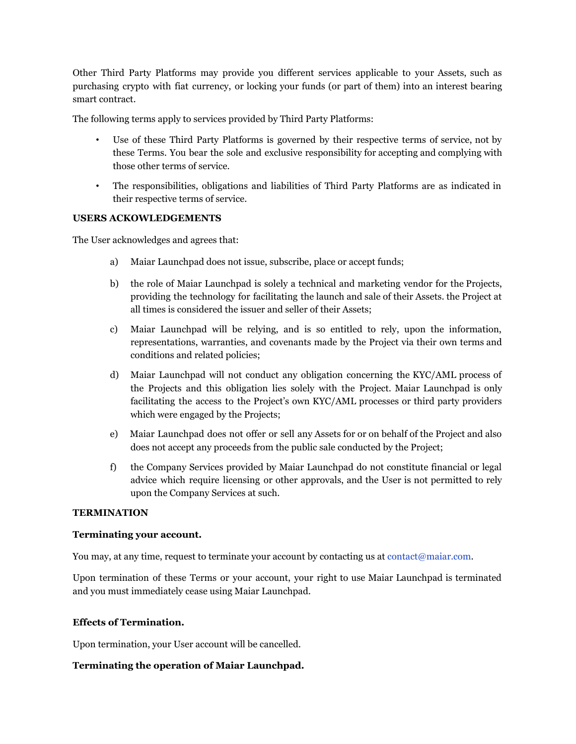Other Third Party Platforms may provide you different services applicable to your Assets, such as purchasing crypto with fiat currency, or locking your funds (or part of them) into an interest bearing smart contract.

The following terms apply to services provided by Third Party Platforms:

- Use of these Third Party Platforms is governed by their respective terms of service, not by these Terms. You bear the sole and exclusive responsibility for accepting and complying with those other terms of service.
- The responsibilities, obligations and liabilities of Third Party Platforms are as indicated in their respective terms of service.

### **USERS ACKOWLEDGEMENTS**

The User acknowledges and agrees that:

- a) Maiar Launchpad does not issue, subscribe, place or accept funds;
- b) the role of Maiar Launchpad is solely a technical and marketing vendor for the Projects, providing the technology for facilitating the launch and sale of their Assets. the Project at all times is considered the issuer and seller of their Assets;
- c) Maiar Launchpad will be relying, and is so entitled to rely, upon the information, representations, warranties, and covenants made by the Project via their own terms and conditions and related policies;
- d) Maiar Launchpad will not conduct any obligation concerning the KYC/AML process of the Projects and this obligation lies solely with the Project. Maiar Launchpad is only facilitating the access to the Project's own KYC/AML processes or third party providers which were engaged by the Projects;
- e) Maiar Launchpad does not offer or sell any Assets for or on behalf of the Project and also does not accept any proceeds from the public sale conducted by the Project;
- f) the Company Services provided by Maiar Launchpad do not constitute financial or legal advice which require licensing or other approvals, and the User is not permitted to rely upon the Company Services at such.

#### **TERMINATION**

#### **Terminating your account.**

You may, at any time, request to terminate your account by contacting us at contact@maiar.com.

Upon termination of these Terms or your account, your right to use Maiar Launchpad is terminated and you must immediately cease using Maiar Launchpad.

### **Effects of Termination.**

Upon termination, your User account will be cancelled.

### **Terminating the operation of Maiar Launchpad.**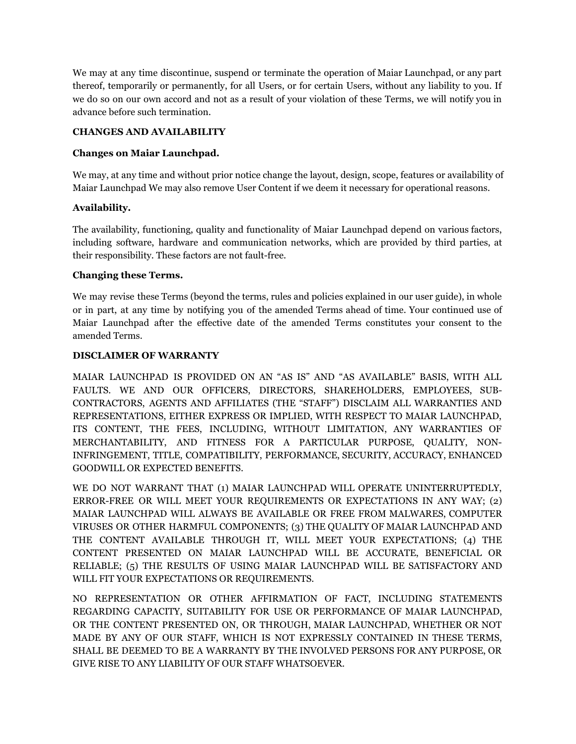We may at any time discontinue, suspend or terminate the operation of Maiar Launchpad, or any part thereof, temporarily or permanently, for all Users, or for certain Users, without any liability to you. If we do so on our own accord and not as a result of your violation of these Terms, we will notify you in advance before such termination.

### **CHANGES AND AVAILABILITY**

## **Changes on Maiar Launchpad.**

We may, at any time and without prior notice change the layout, design, scope, features or availability of Maiar Launchpad We may also remove User Content if we deem it necessary for operational reasons.

## **Availability.**

The availability, functioning, quality and functionality of Maiar Launchpad depend on various factors, including software, hardware and communication networks, which are provided by third parties, at their responsibility. These factors are not fault-free.

## **Changing these Terms.**

We may revise these Terms (beyond the terms, rules and policies explained in our user guide), in whole or in part, at any time by notifying you of the amended Terms ahead of time. Your continued use of Maiar Launchpad after the effective date of the amended Terms constitutes your consent to the amended Terms.

### **DISCLAIMER OF WARRANTY**

MAIAR LAUNCHPAD IS PROVIDED ON AN "AS IS" AND "AS AVAILABLE" BASIS, WITH ALL FAULTS. WE AND OUR OFFICERS, DIRECTORS, SHAREHOLDERS, EMPLOYEES, SUB-CONTRACTORS, AGENTS AND AFFILIATES (THE "STAFF") DISCLAIM ALL WARRANTIES AND REPRESENTATIONS, EITHER EXPRESS OR IMPLIED, WITH RESPECT TO MAIAR LAUNCHPAD, ITS CONTENT, THE FEES, INCLUDING, WITHOUT LIMITATION, ANY WARRANTIES OF MERCHANTABILITY, AND FITNESS FOR A PARTICULAR PURPOSE, QUALITY, NON-INFRINGEMENT, TITLE, COMPATIBILITY, PERFORMANCE, SECURITY, ACCURACY, ENHANCED GOODWILL OR EXPECTED BENEFITS.

WE DO NOT WARRANT THAT (1) MAIAR LAUNCHPAD WILL OPERATE UNINTERRUPTEDLY, ERROR-FREE OR WILL MEET YOUR REQUIREMENTS OR EXPECTATIONS IN ANY WAY; (2) MAIAR LAUNCHPAD WILL ALWAYS BE AVAILABLE OR FREE FROM MALWARES, COMPUTER VIRUSES OR OTHER HARMFUL COMPONENTS; (3) THE QUALITY OF MAIAR LAUNCHPAD AND THE CONTENT AVAILABLE THROUGH IT, WILL MEET YOUR EXPECTATIONS; (4) THE CONTENT PRESENTED ON MAIAR LAUNCHPAD WILL BE ACCURATE, BENEFICIAL OR RELIABLE; (5) THE RESULTS OF USING MAIAR LAUNCHPAD WILL BE SATISFACTORY AND WILL FIT YOUR EXPECTATIONS OR REQUIREMENTS.

NO REPRESENTATION OR OTHER AFFIRMATION OF FACT, INCLUDING STATEMENTS REGARDING CAPACITY, SUITABILITY FOR USE OR PERFORMANCE OF MAIAR LAUNCHPAD, OR THE CONTENT PRESENTED ON, OR THROUGH, MAIAR LAUNCHPAD, WHETHER OR NOT MADE BY ANY OF OUR STAFF, WHICH IS NOT EXPRESSLY CONTAINED IN THESE TERMS, SHALL BE DEEMED TO BE A WARRANTY BY THE INVOLVED PERSONS FOR ANY PURPOSE, OR GIVE RISE TO ANY LIABILITY OF OUR STAFF WHATSOEVER.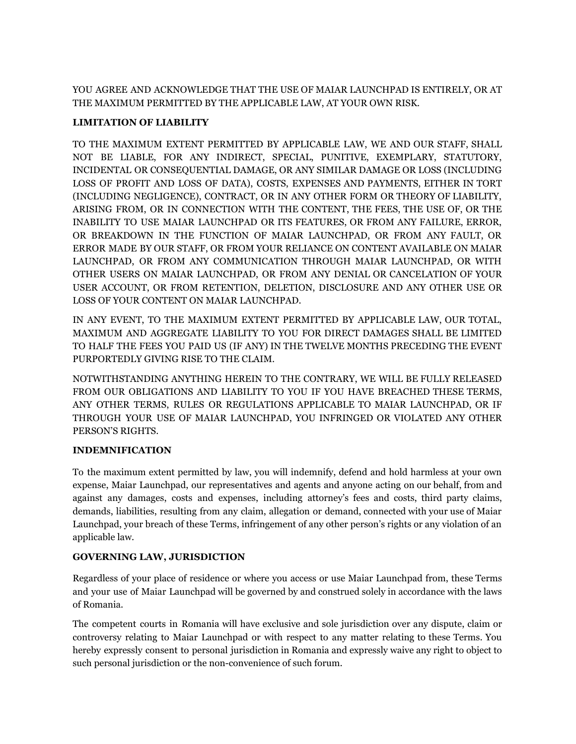YOU AGREE AND ACKNOWLEDGE THAT THE USE OF MAIAR LAUNCHPAD IS ENTIRELY, OR AT THE MAXIMUM PERMITTED BY THE APPLICABLE LAW, AT YOUR OWN RISK.

# **LIMITATION OF LIABILITY**

TO THE MAXIMUM EXTENT PERMITTED BY APPLICABLE LAW, WE AND OUR STAFF, SHALL NOT BE LIABLE, FOR ANY INDIRECT, SPECIAL, PUNITIVE, EXEMPLARY, STATUTORY, INCIDENTAL OR CONSEQUENTIAL DAMAGE, OR ANY SIMILAR DAMAGE OR LOSS (INCLUDING LOSS OF PROFIT AND LOSS OF DATA), COSTS, EXPENSES AND PAYMENTS, EITHER IN TORT (INCLUDING NEGLIGENCE), CONTRACT, OR IN ANY OTHER FORM OR THEORY OF LIABILITY, ARISING FROM, OR IN CONNECTION WITH THE CONTENT, THE FEES, THE USE OF, OR THE INABILITY TO USE MAIAR LAUNCHPAD OR ITS FEATURES, OR FROM ANY FAILURE, ERROR, OR BREAKDOWN IN THE FUNCTION OF MAIAR LAUNCHPAD, OR FROM ANY FAULT, OR ERROR MADE BY OUR STAFF, OR FROM YOUR RELIANCE ON CONTENT AVAILABLE ON MAIAR LAUNCHPAD, OR FROM ANY COMMUNICATION THROUGH MAIAR LAUNCHPAD, OR WITH OTHER USERS ON MAIAR LAUNCHPAD, OR FROM ANY DENIAL OR CANCELATION OF YOUR USER ACCOUNT, OR FROM RETENTION, DELETION, DISCLOSURE AND ANY OTHER USE OR LOSS OF YOUR CONTENT ON MAIAR LAUNCHPAD.

IN ANY EVENT, TO THE MAXIMUM EXTENT PERMITTED BY APPLICABLE LAW, OUR TOTAL, MAXIMUM AND AGGREGATE LIABILITY TO YOU FOR DIRECT DAMAGES SHALL BE LIMITED TO HALF THE FEES YOU PAID US (IF ANY) IN THE TWELVE MONTHS PRECEDING THE EVENT PURPORTEDLY GIVING RISE TO THE CLAIM.

NOTWITHSTANDING ANYTHING HEREIN TO THE CONTRARY, WE WILL BE FULLY RELEASED FROM OUR OBLIGATIONS AND LIABILITY TO YOU IF YOU HAVE BREACHED THESE TERMS, ANY OTHER TERMS, RULES OR REGULATIONS APPLICABLE TO MAIAR LAUNCHPAD, OR IF THROUGH YOUR USE OF MAIAR LAUNCHPAD, YOU INFRINGED OR VIOLATED ANY OTHER PERSON'S RIGHTS.

### **INDEMNIFICATION**

To the maximum extent permitted by law, you will indemnify, defend and hold harmless at your own expense, Maiar Launchpad, our representatives and agents and anyone acting on our behalf, from and against any damages, costs and expenses, including attorney's fees and costs, third party claims, demands, liabilities, resulting from any claim, allegation or demand, connected with your use of Maiar Launchpad, your breach of these Terms, infringement of any other person's rights or any violation of an applicable law.

# **GOVERNING LAW, JURISDICTION**

Regardless of your place of residence or where you access or use Maiar Launchpad from, these Terms and your use of Maiar Launchpad will be governed by and construed solely in accordance with the laws of Romania.

The competent courts in Romania will have exclusive and sole jurisdiction over any dispute, claim or controversy relating to Maiar Launchpad or with respect to any matter relating to these Terms. You hereby expressly consent to personal jurisdiction in Romania and expressly waive any right to object to such personal jurisdiction or the non-convenience of such forum.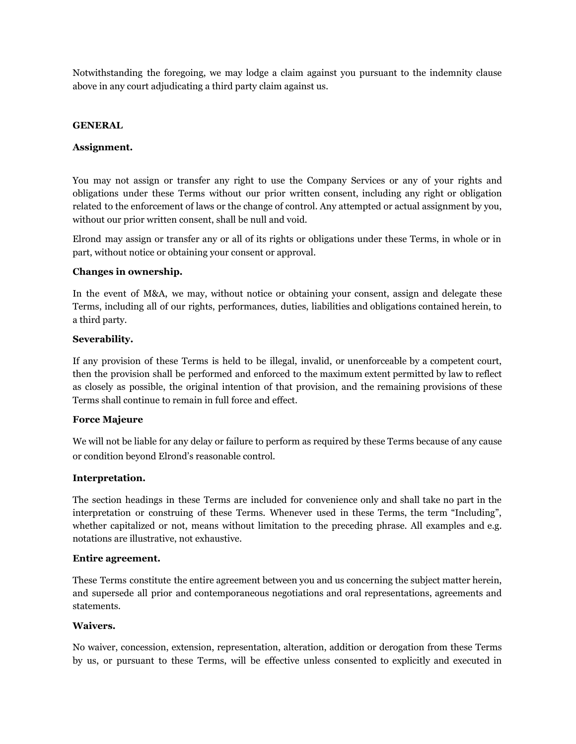Notwithstanding the foregoing, we may lodge a claim against you pursuant to the indemnity clause above in any court adjudicating a third party claim against us.

#### **GENERAL**

#### **Assignment.**

You may not assign or transfer any right to use the Company Services or any of your rights and obligations under these Terms without our prior written consent, including any right or obligation related to the enforcement of laws or the change of control. Any attempted or actual assignment by you, without our prior written consent, shall be null and void.

Elrond may assign or transfer any or all of its rights or obligations under these Terms, in whole or in part, without notice or obtaining your consent or approval.

#### **Changes in ownership.**

In the event of M&A, we may, without notice or obtaining your consent, assign and delegate these Terms, including all of our rights, performances, duties, liabilities and obligations contained herein, to a third party.

#### **Severability.**

If any provision of these Terms is held to be illegal, invalid, or unenforceable by a competent court, then the provision shall be performed and enforced to the maximum extent permitted by law to reflect as closely as possible, the original intention of that provision, and the remaining provisions of these Terms shall continue to remain in full force and effect.

#### **Force Majeure**

We will not be liable for any delay or failure to perform as required by these Terms because of any cause or condition beyond Elrond's reasonable control.

#### **Interpretation.**

The section headings in these Terms are included for convenience only and shall take no part in the interpretation or construing of these Terms. Whenever used in these Terms, the term "Including", whether capitalized or not, means without limitation to the preceding phrase. All examples and e.g. notations are illustrative, not exhaustive.

#### **Entire agreement.**

These Terms constitute the entire agreement between you and us concerning the subject matter herein, and supersede all prior and contemporaneous negotiations and oral representations, agreements and statements.

#### **Waivers.**

No waiver, concession, extension, representation, alteration, addition or derogation from these Terms by us, or pursuant to these Terms, will be effective unless consented to explicitly and executed in